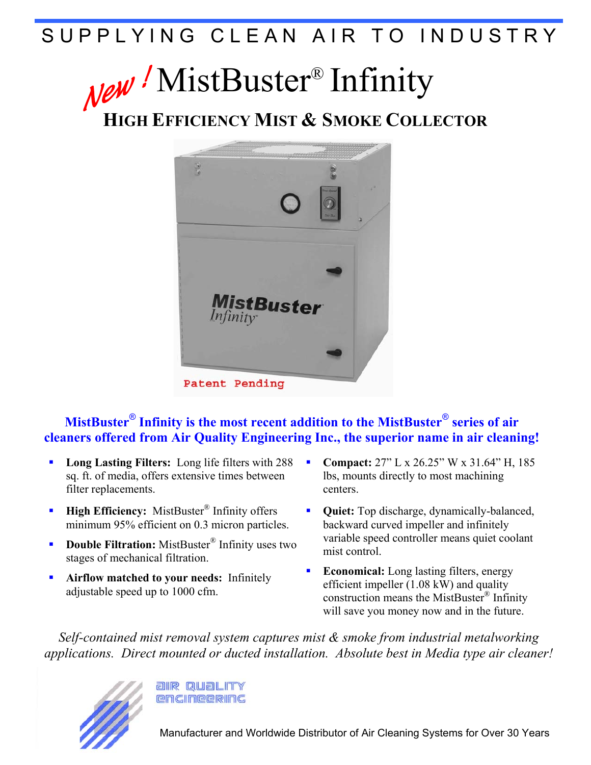# SUPPLYING CLEAN AIR TO INDUSTRY

# New / MistBuster<sup>®</sup> Infinity

**HIGH EFFICIENCY MIST & SMOKE COLLECTOR**



### **MistBuster**® **Infinity is the most recent addition to the MistBuster**® **series of air cleaners offered from Air Quality Engineering Inc., the superior name in air cleaning!**

- **Long Lasting Filters:** Long life filters with 288 sq. ft. of media, offers extensive times between filter replacements.
- **High Efficiency:** MistBuster<sup>®</sup> Infinity offers minimum 95% efficient on 0.3 micron particles.
- **Double Filtration:** MistBuster<sup>®</sup> Infinity uses two stages of mechanical filtration.
- **Airflow matched to your needs:** Infinitely adjustable speed up to 1000 cfm.
- **Compact:**  $27$ " L x  $26.25$ " W x  $31.64$ " H, 185 lbs, mounts directly to most machining centers.
- **Quiet:** Top discharge, dynamically-balanced, backward curved impeller and infinitely variable speed controller means quiet coolant mist control.
- **Economical:** Long lasting filters, energy efficient impeller (1.08 kW) and quality construction means the MistBuster® Infinity will save you money now and in the future.

*Self-contained mist removal system captures mist & smoke from industrial metalworking applications. Direct mounted or ducted installation. Absolute best in Media type air cleaner!*



**allR QUALITY RAGINRERING**